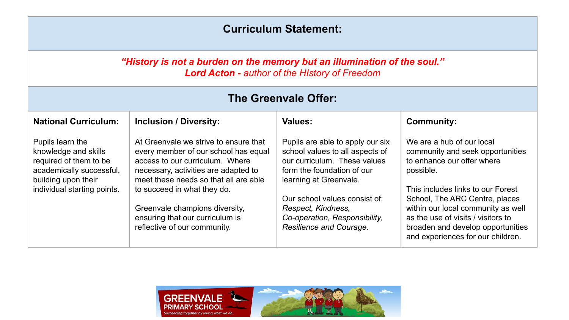## **Curriculum Statement:**

## *"History is not a burden on the memory but an illumination of the soul." Lord Acton - author of the HIstory of Freedom*

| <b>The Greenvale Offer:</b>                                                                                                                          |                                                                                                                                                                                                                                                                                                                                       |                                                                                                                                                                                                                                                                                |                                                                                                                                                                                                                                                                                                                                       |
|------------------------------------------------------------------------------------------------------------------------------------------------------|---------------------------------------------------------------------------------------------------------------------------------------------------------------------------------------------------------------------------------------------------------------------------------------------------------------------------------------|--------------------------------------------------------------------------------------------------------------------------------------------------------------------------------------------------------------------------------------------------------------------------------|---------------------------------------------------------------------------------------------------------------------------------------------------------------------------------------------------------------------------------------------------------------------------------------------------------------------------------------|
| <b>National Curriculum:</b>                                                                                                                          | <b>Inclusion / Diversity:</b>                                                                                                                                                                                                                                                                                                         | <b>Values:</b>                                                                                                                                                                                                                                                                 | <b>Community:</b>                                                                                                                                                                                                                                                                                                                     |
| Pupils learn the<br>knowledge and skills<br>required of them to be<br>academically successful,<br>building upon their<br>individual starting points. | At Greenvale we strive to ensure that<br>every member of our school has equal<br>access to our curriculum. Where<br>necessary, activities are adapted to<br>meet these needs so that all are able<br>to succeed in what they do.<br>Greenvale champions diversity,<br>ensuring that our curriculum is<br>reflective of our community. | Pupils are able to apply our six<br>school values to all aspects of<br>our curriculum. These values<br>form the foundation of our<br>learning at Greenvale.<br>Our school values consist of:<br>Respect, Kindness,<br>Co-operation, Responsibility,<br>Resilience and Courage. | We are a hub of our local<br>community and seek opportunities<br>to enhance our offer where<br>possible.<br>This includes links to our Forest<br>School, The ARC Centre, places<br>within our local community as well<br>as the use of visits / visitors to<br>broaden and develop opportunities<br>and experiences for our children. |